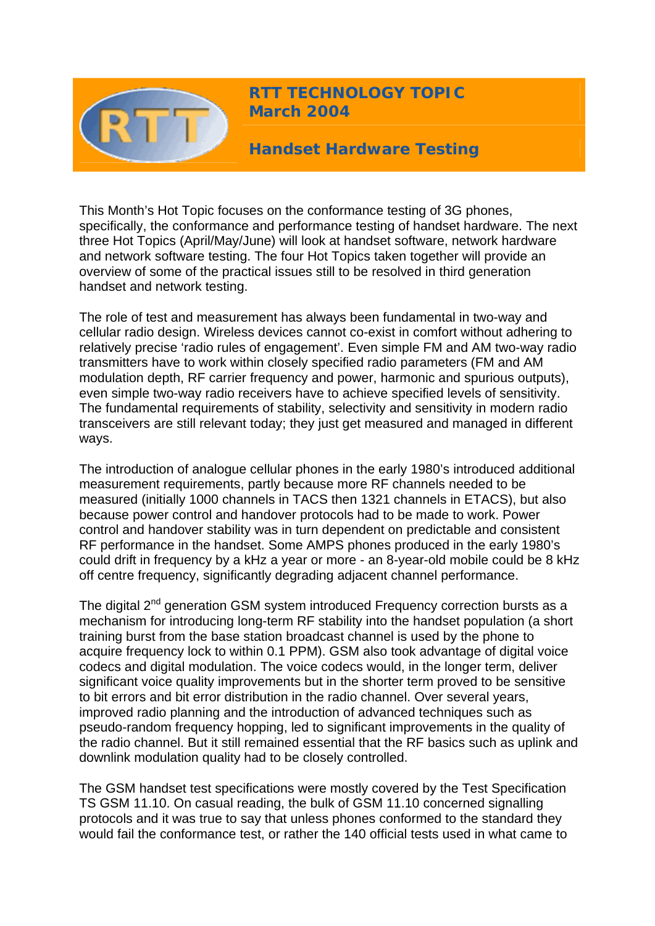

**RTT TECHNOLOGY TOPIC March 2004**

**Handset Hardware Testing** 

This Month's Hot Topic focuses on the conformance testing of 3G phones, specifically, the conformance and performance testing of handset hardware. The next three Hot Topics (April/May/June) will look at handset software, network hardware and network software testing. The four Hot Topics taken together will provide an overview of some of the practical issues still to be resolved in third generation handset and network testing.

The role of test and measurement has always been fundamental in two-way and cellular radio design. Wireless devices cannot co-exist in comfort without adhering to relatively precise 'radio rules of engagement'. Even simple FM and AM two-way radio transmitters have to work within closely specified radio parameters (FM and AM modulation depth, RF carrier frequency and power, harmonic and spurious outputs), even simple two-way radio receivers have to achieve specified levels of sensitivity. The fundamental requirements of stability, selectivity and sensitivity in modern radio transceivers are still relevant today; they just get measured and managed in different ways.

The introduction of analogue cellular phones in the early 1980's introduced additional measurement requirements, partly because more RF channels needed to be measured (initially 1000 channels in TACS then 1321 channels in ETACS), but also because power control and handover protocols had to be made to work. Power control and handover stability was in turn dependent on predictable and consistent RF performance in the handset. Some AMPS phones produced in the early 1980's could drift in frequency by a kHz a year or more - an 8-year-old mobile could be 8 kHz off centre frequency, significantly degrading adjacent channel performance.

The digital  $2^{nd}$  generation GSM system introduced Frequency correction bursts as a mechanism for introducing long-term RF stability into the handset population (a short training burst from the base station broadcast channel is used by the phone to acquire frequency lock to within 0.1 PPM). GSM also took advantage of digital voice codecs and digital modulation. The voice codecs would, in the longer term, deliver significant voice quality improvements but in the shorter term proved to be sensitive to bit errors and bit error distribution in the radio channel. Over several years, improved radio planning and the introduction of advanced techniques such as pseudo-random frequency hopping, led to significant improvements in the quality of the radio channel. But it still remained essential that the RF basics such as uplink and downlink modulation quality had to be closely controlled.

The GSM handset test specifications were mostly covered by the Test Specification TS GSM 11.10. On casual reading, the bulk of GSM 11.10 concerned signalling protocols and it was true to say that unless phones conformed to the standard they would fail the conformance test, or rather the 140 official tests used in what came to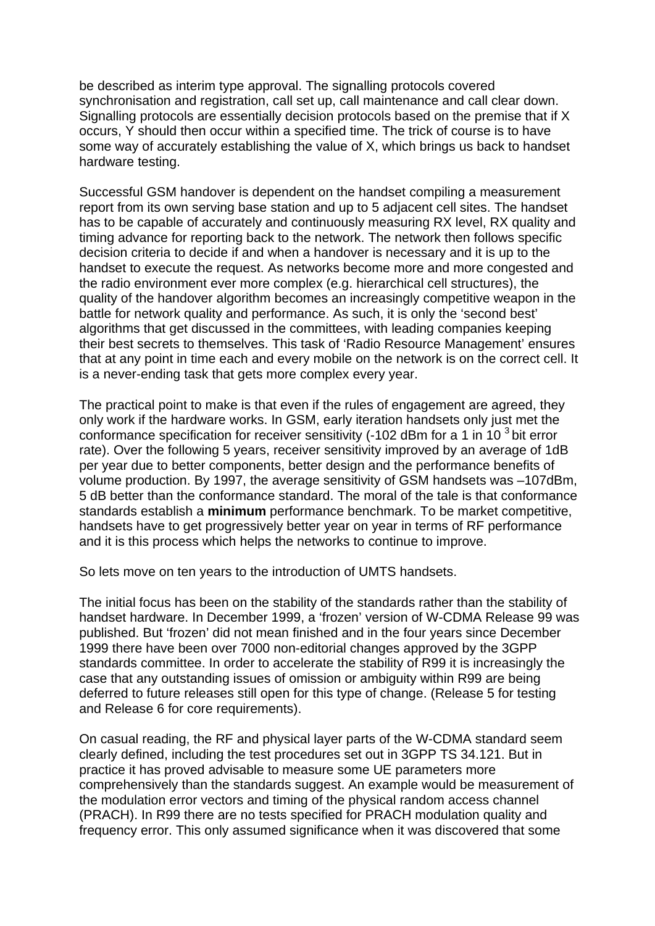be described as interim type approval. The signalling protocols covered synchronisation and registration, call set up, call maintenance and call clear down. Signalling protocols are essentially decision protocols based on the premise that if X occurs, Y should then occur within a specified time. The trick of course is to have some way of accurately establishing the value of X, which brings us back to handset hardware testing.

Successful GSM handover is dependent on the handset compiling a measurement report from its own serving base station and up to 5 adjacent cell sites. The handset has to be capable of accurately and continuously measuring RX level, RX quality and timing advance for reporting back to the network. The network then follows specific decision criteria to decide if and when a handover is necessary and it is up to the handset to execute the request. As networks become more and more congested and the radio environment ever more complex (e.g. hierarchical cell structures), the quality of the handover algorithm becomes an increasingly competitive weapon in the battle for network quality and performance. As such, it is only the 'second best' algorithms that get discussed in the committees, with leading companies keeping their best secrets to themselves. This task of 'Radio Resource Management' ensures that at any point in time each and every mobile on the network is on the correct cell. It is a never-ending task that gets more complex every year.

The practical point to make is that even if the rules of engagement are agreed, they only work if the hardware works. In GSM, early iteration handsets only just met the conformance specification for receiver sensitivity  $(-102$  dBm for a 1 in 10<sup>3</sup> bit error rate). Over the following 5 years, receiver sensitivity improved by an average of 1dB per year due to better components, better design and the performance benefits of volume production. By 1997, the average sensitivity of GSM handsets was –107dBm, 5 dB better than the conformance standard. The moral of the tale is that conformance standards establish a **minimum** performance benchmark. To be market competitive, handsets have to get progressively better year on year in terms of RF performance and it is this process which helps the networks to continue to improve.

So lets move on ten years to the introduction of UMTS handsets.

The initial focus has been on the stability of the standards rather than the stability of handset hardware. In December 1999, a 'frozen' version of W-CDMA Release 99 was published. But 'frozen' did not mean finished and in the four years since December 1999 there have been over 7000 non-editorial changes approved by the 3GPP standards committee. In order to accelerate the stability of R99 it is increasingly the case that any outstanding issues of omission or ambiguity within R99 are being deferred to future releases still open for this type of change. (Release 5 for testing and Release 6 for core requirements).

On casual reading, the RF and physical layer parts of the W-CDMA standard seem clearly defined, including the test procedures set out in 3GPP TS 34.121. But in practice it has proved advisable to measure some UE parameters more comprehensively than the standards suggest. An example would be measurement of the modulation error vectors and timing of the physical random access channel (PRACH). In R99 there are no tests specified for PRACH modulation quality and frequency error. This only assumed significance when it was discovered that some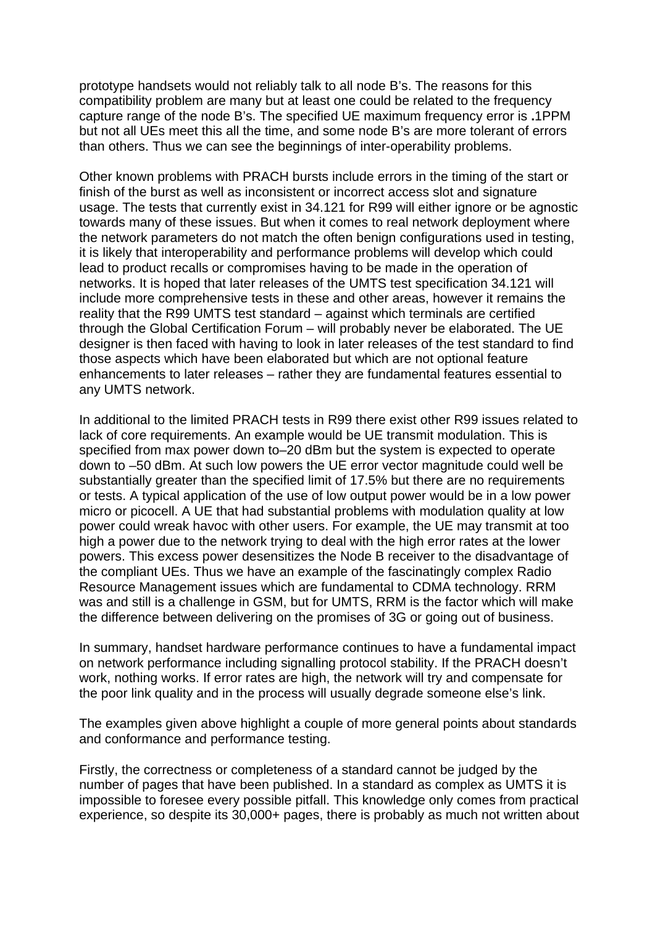prototype handsets would not reliably talk to all node B's. The reasons for this compatibility problem are many but at least one could be related to the frequency capture range of the node B's. The specified UE maximum frequency error is **.**1PPM but not all UEs meet this all the time, and some node B's are more tolerant of errors than others. Thus we can see the beginnings of inter-operability problems.

Other known problems with PRACH bursts include errors in the timing of the start or finish of the burst as well as inconsistent or incorrect access slot and signature usage. The tests that currently exist in 34.121 for R99 will either ignore or be agnostic towards many of these issues. But when it comes to real network deployment where the network parameters do not match the often benign configurations used in testing, it is likely that interoperability and performance problems will develop which could lead to product recalls or compromises having to be made in the operation of networks. It is hoped that later releases of the UMTS test specification 34.121 will include more comprehensive tests in these and other areas, however it remains the reality that the R99 UMTS test standard – against which terminals are certified through the Global Certification Forum – will probably never be elaborated. The UE designer is then faced with having to look in later releases of the test standard to find those aspects which have been elaborated but which are not optional feature enhancements to later releases – rather they are fundamental features essential to any UMTS network.

In additional to the limited PRACH tests in R99 there exist other R99 issues related to lack of core requirements. An example would be UE transmit modulation. This is specified from max power down to–20 dBm but the system is expected to operate down to –50 dBm. At such low powers the UE error vector magnitude could well be substantially greater than the specified limit of 17.5% but there are no requirements or tests. A typical application of the use of low output power would be in a low power micro or picocell. A UE that had substantial problems with modulation quality at low power could wreak havoc with other users. For example, the UE may transmit at too high a power due to the network trying to deal with the high error rates at the lower powers. This excess power desensitizes the Node B receiver to the disadvantage of the compliant UEs. Thus we have an example of the fascinatingly complex Radio Resource Management issues which are fundamental to CDMA technology. RRM was and still is a challenge in GSM, but for UMTS, RRM is the factor which will make the difference between delivering on the promises of 3G or going out of business.

In summary, handset hardware performance continues to have a fundamental impact on network performance including signalling protocol stability. If the PRACH doesn't work, nothing works. If error rates are high, the network will try and compensate for the poor link quality and in the process will usually degrade someone else's link.

The examples given above highlight a couple of more general points about standards and conformance and performance testing.

Firstly, the correctness or completeness of a standard cannot be judged by the number of pages that have been published. In a standard as complex as UMTS it is impossible to foresee every possible pitfall. This knowledge only comes from practical experience, so despite its 30,000+ pages, there is probably as much not written about